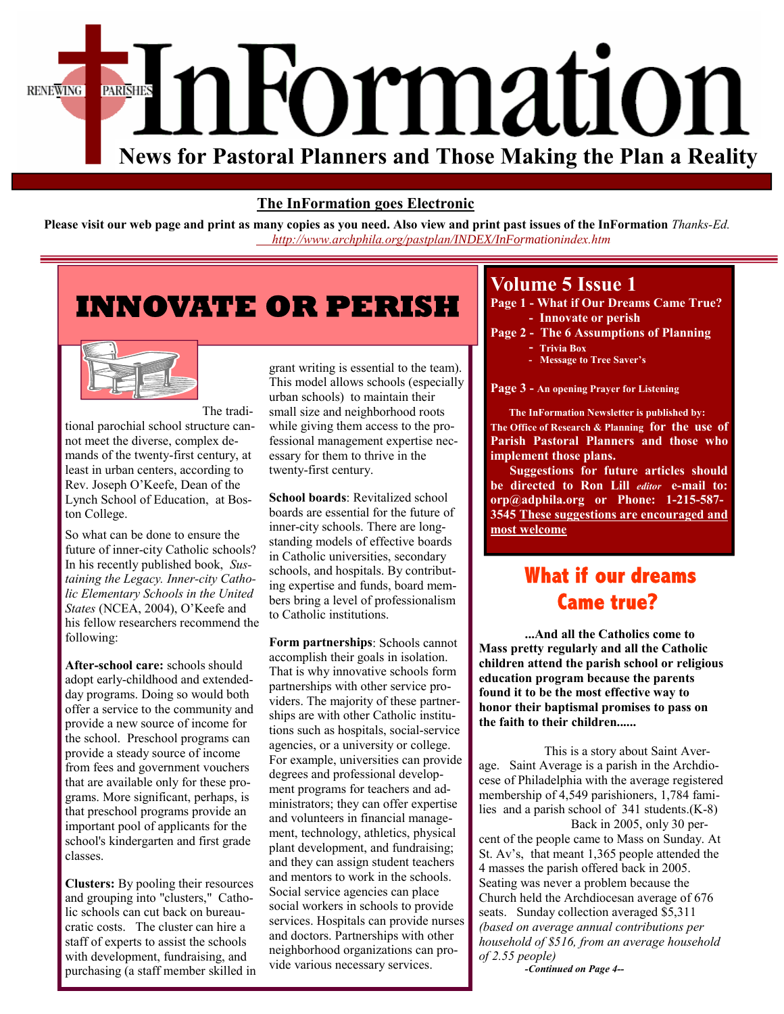

### **The InFormation goes Electronic**

**Please visit our web page and print as many copies as you need. Also view and print past issues of the InFormation** *Thanks-Ed. http://www.archphila.org/pastplan/[INDEX/InFormation](http://www.archphila.org/pastplan/INDEX/InFormationindex.html)index.htm*

# **INNOVATE OR PERISH**



The traditional parochial school structure cannot meet the diverse, complex demands of the twenty-first century, at least in urban centers, according to Rev. Joseph O'Keefe, Dean of the Lynch School of Education, at Boston College.

So what can be done to ensure the future of inner-city Catholic schools? In his recently published book, *Sustaining the Legacy. Inner-city Catholic Elementary Schools in the United States* (NCEA, 2004), O'Keefe and his fellow researchers recommend the following:

**After-school care:** schools should adopt early-childhood and extendedday programs. Doing so would both offer a service to the community and provide a new source of income for the school. Preschool programs can provide a steady source of income from fees and government vouchers that are available only for these programs. More significant, perhaps, is that preschool programs provide an important pool of applicants for the school's kindergarten and first grade classes.

**Clusters:** By pooling their resources and grouping into "clusters," Catholic schools can cut back on bureaucratic costs. The cluster can hire a staff of experts to assist the schools with development, fundraising, and purchasing (a staff member skilled in

grant writing is essential to the team). This model allows schools (especially urban schools) to maintain their small size and neighborhood roots while giving them access to the professional management expertise necessary for them to thrive in the twenty-first century.

**School boards**: Revitalized school boards are essential for the future of inner-city schools. There are longstanding models of effective boards in Catholic universities, secondary schools, and hospitals. By contributing expertise and funds, board members bring a level of professionalism to Catholic institutions.

**Form partnerships**: Schools cannot accomplish their goals in isolation. That is why innovative schools form partnerships with other service providers. The majority of these partnerships are with other Catholic institutions such as hospitals, social-service agencies, or a university or college. For example, universities can provide degrees and professional development programs for teachers and administrators; they can offer expertise and volunteers in financial management, technology, athletics, physical plant development, and fundraising; and they can assign student teachers and mentors to work in the schools. Social service agencies can place social workers in schools to provide services. Hospitals can provide nurses and doctors. Partnerships with other neighborhood organizations can provide various necessary services.

## **Volume 5 Issue 1**

- **Page 1 What if Our Dreams Came True? - Innovate or perish**
- **Page 2 The 6 Assumptions of Planning - Trivia Box** 
	- **Message to Tree Saver's**

**Page 3 - An opening Prayer for Listening** 

 **The InFormation Newsletter is published by: The Office of Research & Planning for the use of Parish Pastoral Planners and those who implement those plans.** 

 **Suggestions for future articles should be directed to Ron Lill** *editor* **e-mail to: orp@adphila.org or Phone: 1-215-587- 3545 These suggestions are encouraged and most welcome** 

# **What if our dreams Came true?**

**...And all the Catholics come to Mass pretty regularly and all the Catholic children attend the parish school or religious education program because the parents found it to be the most effective way to honor their baptismal promises to pass on the faith to their children......** 

 This is a story about Saint Average. Saint Average is a parish in the Archdiocese of Philadelphia with the average registered membership of 4,549 parishioners, 1,784 families and a parish school of 341 students.(K-8)

 Back in 2005, only 30 percent of the people came to Mass on Sunday. At St. Av's, that meant 1,365 people attended the 4 masses the parish offered back in 2005. Seating was never a problem because the Church held the Archdiocesan average of 676 seats. Sunday collection averaged \$5,311 *(based on average annual contributions per household of \$516, from an average household of 2.55 people)* 

*-Continued on Page 4--*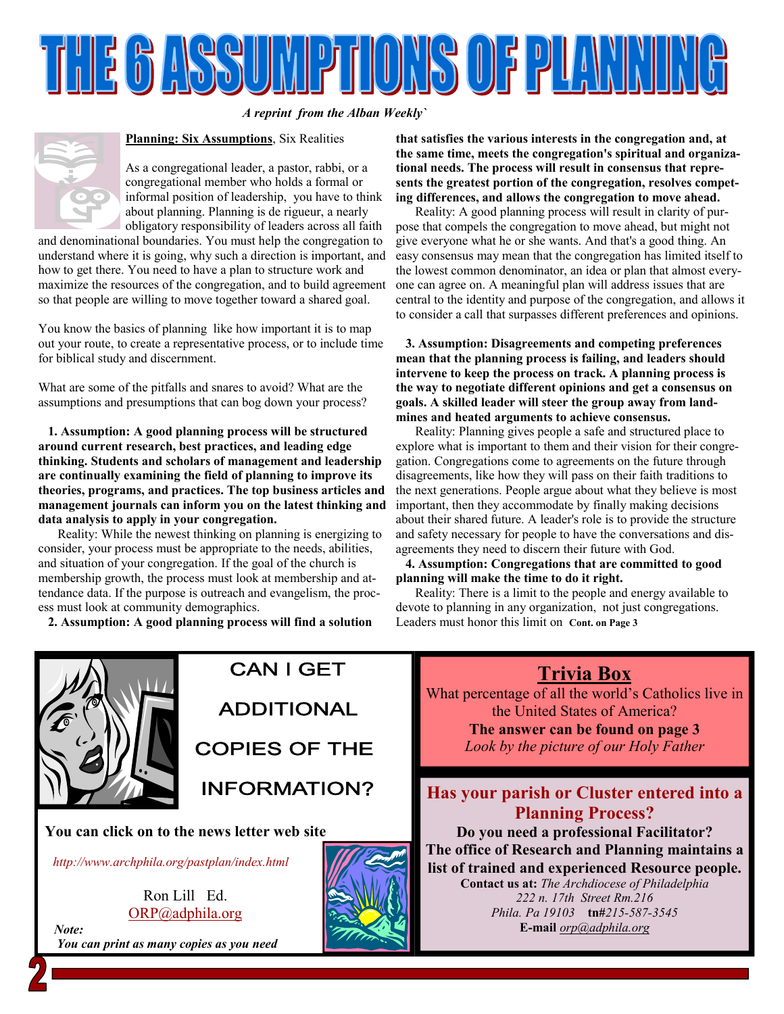

*A reprint from the Alban Weekly`* 



#### **Planning: Six Assumptions**, Six Realities

As a congregational leader, a pastor, rabbi, or a congregational member who holds a formal or informal position of leadership, you have to think about planning. Planning is de rigueur, a nearly obligatory responsibility of leaders across all faith

and denominational boundaries. You must help the congregation to understand where it is going, why such a direction is important, and how to get there. You need to have a plan to structure work and maximize the resources of the congregation, and to build agreement so that people are willing to move together toward a shared goal.

You know the basics of planning like how important it is to map out your route, to create a representative process, or to include time for biblical study and discernment.

What are some of the pitfalls and snares to avoid? What are the assumptions and presumptions that can bog down your process?

 **1. Assumption: A good planning process will be structured around current research, best practices, and leading edge thinking. Students and scholars of management and leadership are continually examining the field of planning to improve its theories, programs, and practices. The top business articles and management journals can inform you on the latest thinking and data analysis to apply in your congregation.** 

 Reality: While the newest thinking on planning is energizing to consider, your process must be appropriate to the needs, abilities, and situation of your congregation. If the goal of the church is membership growth, the process must look at membership and attendance data. If the purpose is outreach and evangelism, the process must look at community demographics.

**2. Assumption: A good planning process will find a solution** 

**that satisfies the various interests in the congregation and, at the same time, meets the congregation's spiritual and organizational needs. The process will result in consensus that represents the greatest portion of the congregation, resolves competing differences, and allows the congregation to move ahead.** 

 Reality: A good planning process will result in clarity of purpose that compels the congregation to move ahead, but might not give everyone what he or she wants. And that's a good thing. An easy consensus may mean that the congregation has limited itself to the lowest common denominator, an idea or plan that almost everyone can agree on. A meaningful plan will address issues that are central to the identity and purpose of the congregation, and allows it to consider a call that surpasses different preferences and opinions.

 **3. Assumption: Disagreements and competing preferences mean that the planning process is failing, and leaders should intervene to keep the process on track. A planning process is the way to negotiate different opinions and get a consensus on goals. A skilled leader will steer the group away from landmines and heated arguments to achieve consensus.** 

 Reality: Planning gives people a safe and structured place to explore what is important to them and their vision for their congregation. Congregations come to agreements on the future through disagreements, like how they will pass on their faith traditions to the next generations. People argue about what they believe is most important, then they accommodate by finally making decisions about their shared future. A leader's role is to provide the structure and safety necessary for people to have the conversations and disagreements they need to discern their future with God.

 **4. Assumption: Congregations that are committed to good planning will make the time to do it right.** 

 Reality: There is a limit to the people and energy available to devote to planning in any organization, not just congregations. Leaders must honor this limit on **Cont. on Page 3** 



**CAN I GET ADDITIONAL COPIES OF THE** 

**INFORMATION?** 

**You can click on to the news letter web site** 

*http://www.archphila[.org/pastplan/index.htm](http://archphila.org/pastplan/INDEX/InFormationindex.html)l*

Ron Lill Ed. ORP@adphila.org

 *Note: You can print as many copies as you need* 



**Trivia Box**

What percentage of all the world's Catholics live in the United States of America?

> **The answer can be found on page 3**  *Look by the picture of our Holy Father*

### **Has your parish or Cluster entered into a Planning Process?**

**Do you need a professional Facilitator? The office of Research and Planning maintains a list of trained and experienced Resource people.** 

> **Contact us at:** *The Archdiocese of Philadelphia 222 n. 17th Street Rm.216 Phila. Pa 19103* **tn#***215-587-3545*  **E-mail** *orp@adphila.org*